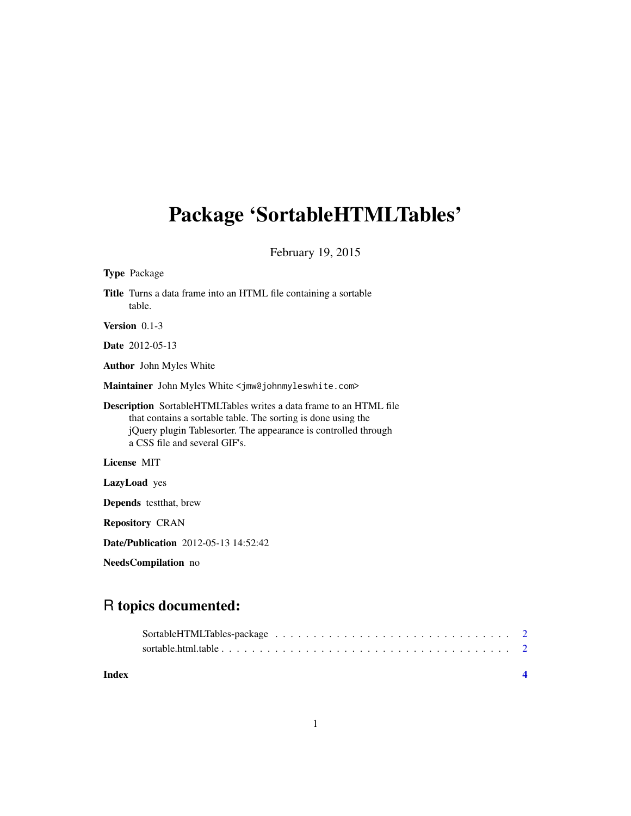## Package 'SortableHTMLTables'

February 19, 2015

| <b>Type Package</b>                                                                                                                                                                                                                            |
|------------------------------------------------------------------------------------------------------------------------------------------------------------------------------------------------------------------------------------------------|
| Title Turns a data frame into an HTML file containing a sortable<br>table.                                                                                                                                                                     |
| <b>Version</b> $0.1-3$                                                                                                                                                                                                                         |
| Date 2012-05-13                                                                                                                                                                                                                                |
| <b>Author</b> John Myles White                                                                                                                                                                                                                 |
| Maintainer John Myles White <jmw@johnmyleswhite.com></jmw@johnmyleswhite.com>                                                                                                                                                                  |
| <b>Description</b> SortableHTMLTables writes a data frame to an HTML file<br>that contains a sortable table. The sorting is done using the<br>jQuery plugin Tablesorter. The appearance is controlled through<br>a CSS file and several GIF's. |
| License MIT                                                                                                                                                                                                                                    |
| LazyLoad yes                                                                                                                                                                                                                                   |
| <b>Depends</b> test that, brew                                                                                                                                                                                                                 |
| <b>Repository CRAN</b>                                                                                                                                                                                                                         |
| Date/Publication 2012-05-13 14:52:42                                                                                                                                                                                                           |
| NeedsCompilation no                                                                                                                                                                                                                            |

### R topics documented:

| Index |  |
|-------|--|
|       |  |
|       |  |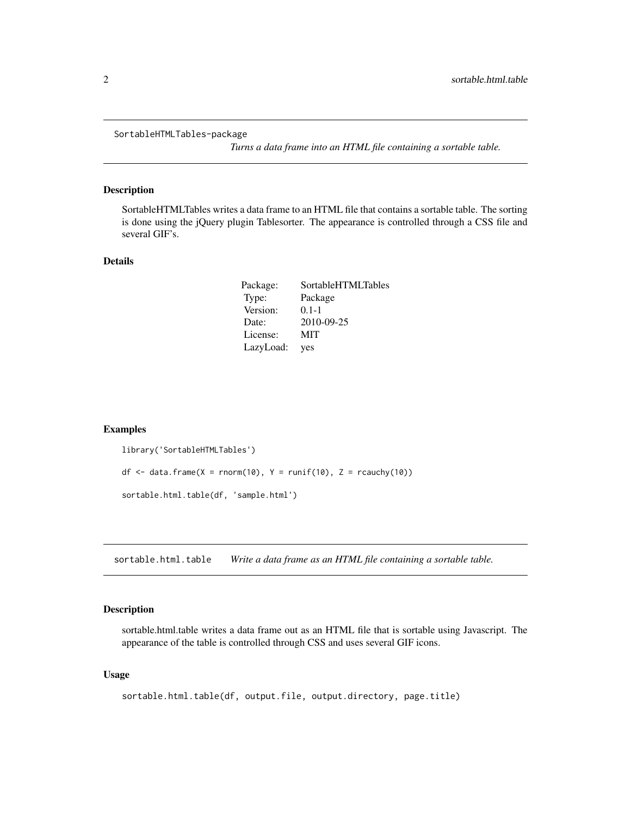<span id="page-1-0"></span>SortableHTMLTables-package

*Turns a data frame into an HTML file containing a sortable table.*

#### Description

SortableHTMLTables writes a data frame to an HTML file that contains a sortable table. The sorting is done using the jQuery plugin Tablesorter. The appearance is controlled through a CSS file and several GIF's.

#### Details

| Package:  | SortableHTMLTables |
|-----------|--------------------|
| Type:     | Package            |
| Version:  | $0.1 - 1$          |
| Date:     | 2010-09-25         |
| License:  | <b>MIT</b>         |
| LazyLoad: | yes                |

#### Examples

```
library('SortableHTMLTables')
df \le- data.frame(X = rnorm(10), Y = runif(10), Z = rcauchy(10))
sortable.html.table(df, 'sample.html')
```
sortable.html.table *Write a data frame as an HTML file containing a sortable table.*

#### Description

sortable.html.table writes a data frame out as an HTML file that is sortable using Javascript. The appearance of the table is controlled through CSS and uses several GIF icons.

#### Usage

```
sortable.html.table(df, output.file, output.directory, page.title)
```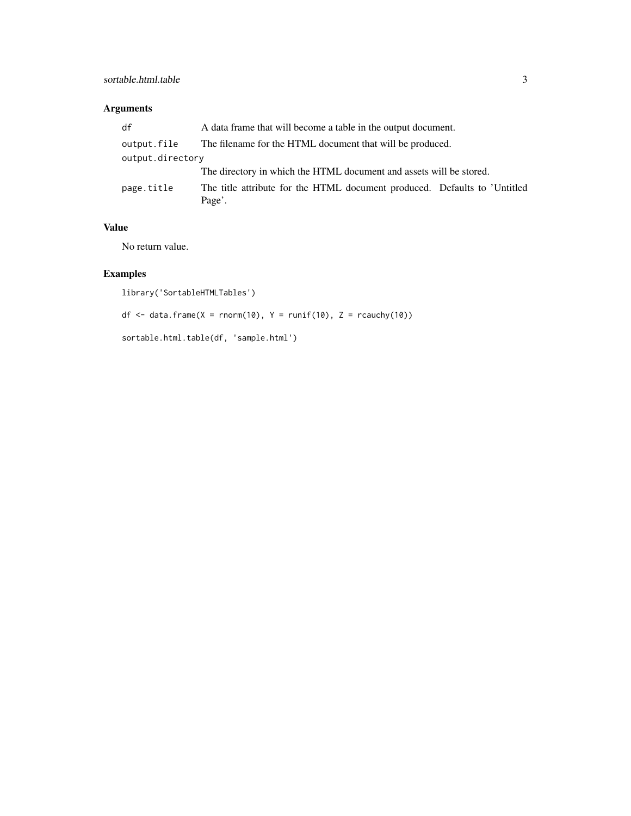#### sortable.html.table 3

#### Arguments

| df               | A data frame that will become a table in the output document.                       |  |
|------------------|-------------------------------------------------------------------------------------|--|
| output.file      | The filename for the HTML document that will be produced.                           |  |
| output.directory |                                                                                     |  |
|                  | The directory in which the HTML document and assets will be stored.                 |  |
| page.title       | The title attribute for the HTML document produced. Defaults to 'Untitled<br>Page'. |  |

#### Value

No return value.

### Examples

```
library('SortableHTMLTables')
```
df  $\le$  data.frame(X = rnorm(10), Y = runif(10), Z = rcauchy(10))

sortable.html.table(df, 'sample.html')